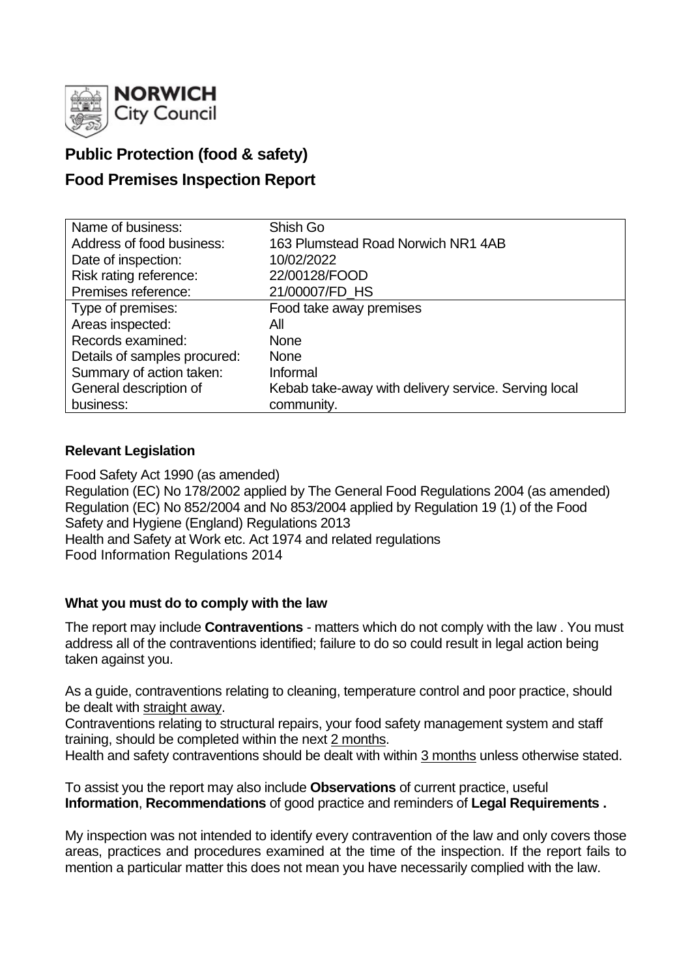

# **Public Protection (food & safety)**

# **Food Premises Inspection Report**

| Name of business:            | Shish Go                                             |
|------------------------------|------------------------------------------------------|
| Address of food business:    | 163 Plumstead Road Norwich NR1 4AB                   |
| Date of inspection:          | 10/02/2022                                           |
| Risk rating reference:       | 22/00128/FOOD                                        |
| Premises reference:          | 21/00007/FD_HS                                       |
| Type of premises:            | Food take away premises                              |
| Areas inspected:             | All                                                  |
| Records examined:            | <b>None</b>                                          |
| Details of samples procured: | <b>None</b>                                          |
| Summary of action taken:     | Informal                                             |
| General description of       | Kebab take-away with delivery service. Serving local |
| business:                    | community.                                           |

## **Relevant Legislation**

Food Safety Act 1990 (as amended) Regulation (EC) No 178/2002 applied by The General Food Regulations 2004 (as amended) Regulation (EC) No 852/2004 and No 853/2004 applied by Regulation 19 (1) of the Food Safety and Hygiene (England) Regulations 2013 Health and Safety at Work etc. Act 1974 and related regulations Food Information Regulations 2014

## **What you must do to comply with the law**

The report may include **Contraventions** - matters which do not comply with the law . You must address all of the contraventions identified; failure to do so could result in legal action being taken against you.

As a guide, contraventions relating to cleaning, temperature control and poor practice, should be dealt with straight away.

Contraventions relating to structural repairs, your food safety management system and staff training, should be completed within the next 2 months.

Health and safety contraventions should be dealt with within 3 months unless otherwise stated.

To assist you the report may also include **Observations** of current practice, useful **Information**, **Recommendations** of good practice and reminders of **Legal Requirements .**

My inspection was not intended to identify every contravention of the law and only covers those areas, practices and procedures examined at the time of the inspection. If the report fails to mention a particular matter this does not mean you have necessarily complied with the law.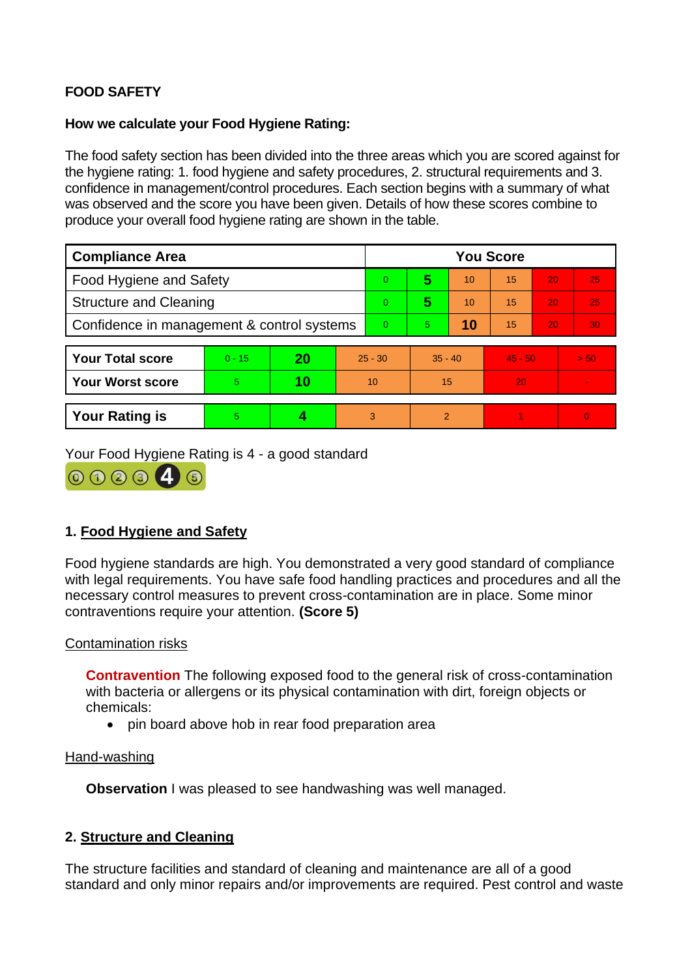# **FOOD SAFETY**

### **How we calculate your Food Hygiene Rating:**

The food safety section has been divided into the three areas which you are scored against for the hygiene rating: 1. food hygiene and safety procedures, 2. structural requirements and 3. confidence in management/control procedures. Each section begins with a summary of what was observed and the score you have been given. Details of how these scores combine to produce your overall food hygiene rating are shown in the table.

| <b>Compliance Area</b>                     |          |    |           | <b>You Score</b> |                |    |           |    |                |  |  |
|--------------------------------------------|----------|----|-----------|------------------|----------------|----|-----------|----|----------------|--|--|
| Food Hygiene and Safety                    |          |    |           | 0                | 5              | 10 | 15        | 20 | 25             |  |  |
| <b>Structure and Cleaning</b>              |          |    |           | 0                | 5              | 10 | 15        | 20 | 25             |  |  |
| Confidence in management & control systems |          |    |           | 0                | 5.             | 10 | 15        | 20 | 30             |  |  |
|                                            |          |    |           |                  |                |    |           |    |                |  |  |
| <b>Your Total score</b>                    | $0 - 15$ | 20 | $25 - 30$ |                  | $35 - 40$      |    | $45 - 50$ |    | > 50           |  |  |
| <b>Your Worst score</b>                    | 5        | 10 | 10        |                  | 15             |    | 20        |    |                |  |  |
|                                            |          |    |           |                  |                |    |           |    |                |  |  |
| <b>Your Rating is</b>                      | 5        |    |           | 3                | $\overline{2}$ |    |           |    | $\overline{0}$ |  |  |

Your Food Hygiene Rating is 4 - a good standard



## **1. Food Hygiene and Safety**

Food hygiene standards are high. You demonstrated a very good standard of compliance with legal requirements. You have safe food handling practices and procedures and all the necessary control measures to prevent cross-contamination are in place. Some minor contraventions require your attention. **(Score 5)**

### Contamination risks

**Contravention** The following exposed food to the general risk of cross-contamination with bacteria or allergens or its physical contamination with dirt, foreign objects or chemicals:

• pin board above hob in rear food preparation area

### Hand-washing

**Observation I** was pleased to see handwashing was well managed.

## **2. Structure and Cleaning**

The structure facilities and standard of cleaning and maintenance are all of a good standard and only minor repairs and/or improvements are required. Pest control and waste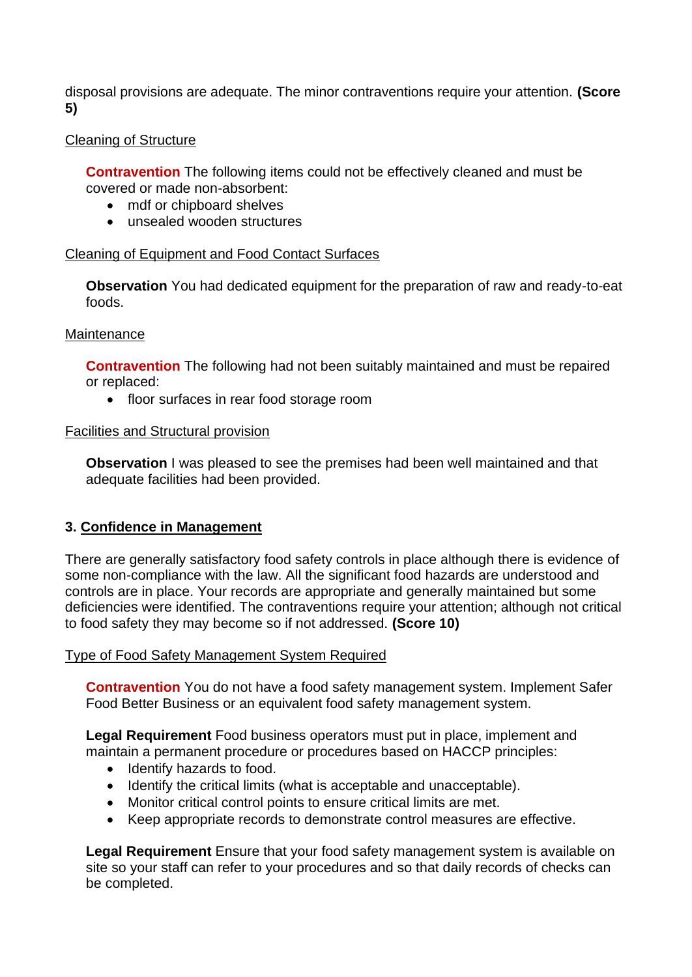disposal provisions are adequate. The minor contraventions require your attention. **(Score 5)**

### Cleaning of Structure

**Contravention** The following items could not be effectively cleaned and must be covered or made non-absorbent:

- mdf or chipboard shelves
- unsealed wooden structures

### Cleaning of Equipment and Food Contact Surfaces

**Observation** You had dedicated equipment for the preparation of raw and ready-to-eat foods.

### **Maintenance**

**Contravention** The following had not been suitably maintained and must be repaired or replaced:

• floor surfaces in rear food storage room

### Facilities and Structural provision

**Observation** I was pleased to see the premises had been well maintained and that adequate facilities had been provided.

## **3. Confidence in Management**

There are generally satisfactory food safety controls in place although there is evidence of some non-compliance with the law. All the significant food hazards are understood and controls are in place. Your records are appropriate and generally maintained but some deficiencies were identified. The contraventions require your attention; although not critical to food safety they may become so if not addressed. **(Score 10)**

### Type of Food Safety Management System Required

**Contravention** You do not have a food safety management system. Implement Safer Food Better Business or an equivalent food safety management system.

**Legal Requirement** Food business operators must put in place, implement and maintain a permanent procedure or procedures based on HACCP principles:

- Identify hazards to food.
- Identify the critical limits (what is acceptable and unacceptable).
- Monitor critical control points to ensure critical limits are met.
- Keep appropriate records to demonstrate control measures are effective.

**Legal Requirement** Ensure that your food safety management system is available on site so your staff can refer to your procedures and so that daily records of checks can be completed.